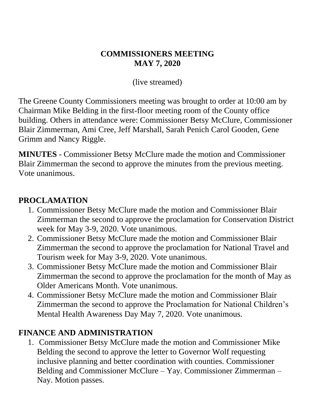#### **COMMISSIONERS MEETING MAY 7, 2020**

(live streamed)

The Greene County Commissioners meeting was brought to order at 10:00 am by Chairman Mike Belding in the first-floor meeting room of the County office building. Others in attendance were: Commissioner Betsy McClure, Commissioner Blair Zimmerman, Ami Cree, Jeff Marshall, Sarah Penich Carol Gooden, Gene Grimm and Nancy Riggle.

**MINUTES** - Commissioner Betsy McClure made the motion and Commissioner Blair Zimmerman the second to approve the minutes from the previous meeting. Vote unanimous.

#### **PROCLAMATION**

- 1. Commissioner Betsy McClure made the motion and Commissioner Blair Zimmerman the second to approve the proclamation for Conservation District week for May 3-9, 2020. Vote unanimous.
- 2. Commissioner Betsy McClure made the motion and Commissioner Blair Zimmerman the second to approve the proclamation for National Travel and Tourism week for May 3-9, 2020. Vote unanimous.
- 3. Commissioner Betsy McClure made the motion and Commissioner Blair Zimmerman the second to approve the proclamation for the month of May as Older Americans Month. Vote unanimous.
- 4. Commissioner Betsy McClure made the motion and Commissioner Blair Zimmerman the second to approve the Proclamation for National Children's Mental Health Awareness Day May 7, 2020. Vote unanimous.

# **FINANCE AND ADMINISTRATION**

1. Commissioner Betsy McClure made the motion and Commissioner Mike Belding the second to approve the letter to Governor Wolf requesting inclusive planning and better coordination with counties. Commissioner Belding and Commissioner McClure – Yay. Commissioner Zimmerman – Nay. Motion passes.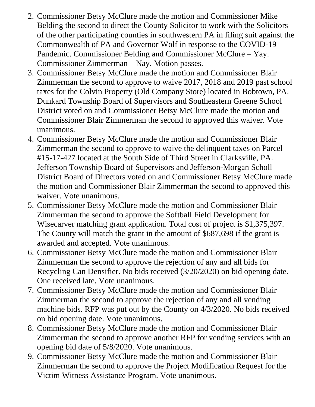- 2. Commissioner Betsy McClure made the motion and Commissioner Mike Belding the second to direct the County Solicitor to work with the Solicitors of the other participating counties in southwestern PA in filing suit against the Commonwealth of PA and Governor Wolf in response to the COVID-19 Pandemic. Commissioner Belding and Commissioner McClure – Yay. Commissioner Zimmerman – Nay. Motion passes.
- 3. Commissioner Betsy McClure made the motion and Commissioner Blair Zimmerman the second to approve to waive 2017, 2018 and 2019 past school taxes for the Colvin Property (Old Company Store) located in Bobtown, PA. Dunkard Township Board of Supervisors and Southeastern Greene School District voted on and Commissioner Betsy McClure made the motion and Commissioner Blair Zimmerman the second to approved this waiver. Vote unanimous.
- 4. Commissioner Betsy McClure made the motion and Commissioner Blair Zimmerman the second to approve to waive the delinquent taxes on Parcel #15-17-427 located at the South Side of Third Street in Clarksville, PA. Jefferson Township Board of Supervisors and Jefferson-Morgan Scholl District Board of Directors voted on and Commissioner Betsy McClure made the motion and Commissioner Blair Zimmerman the second to approved this waiver. Vote unanimous.
- 5. Commissioner Betsy McClure made the motion and Commissioner Blair Zimmerman the second to approve the Softball Field Development for Wisecarver matching grant application. Total cost of project is \$1,375,397. The County will match the grant in the amount of \$687,698 if the grant is awarded and accepted. Vote unanimous.
- 6. Commissioner Betsy McClure made the motion and Commissioner Blair Zimmerman the second to approve the rejection of any and all bids for Recycling Can Densifier. No bids received (3/20/2020) on bid opening date. One received late. Vote unanimous.
- 7. Commissioner Betsy McClure made the motion and Commissioner Blair Zimmerman the second to approve the rejection of any and all vending machine bids. RFP was put out by the County on 4/3/2020. No bids received on bid opening date. Vote unanimous.
- 8. Commissioner Betsy McClure made the motion and Commissioner Blair Zimmerman the second to approve another RFP for vending services with an opening bid date of 5/8/2020. Vote unanimous.
- 9. Commissioner Betsy McClure made the motion and Commissioner Blair Zimmerman the second to approve the Project Modification Request for the Victim Witness Assistance Program. Vote unanimous.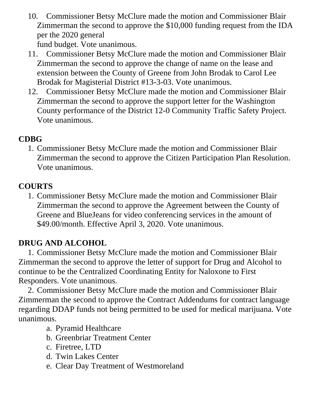10. Commissioner Betsy McClure made the motion and Commissioner Blair Zimmerman the second to approve the \$10,000 funding request from the IDA per the 2020 general

fund budget. Vote unanimous.

- 11. Commissioner Betsy McClure made the motion and Commissioner Blair Zimmerman the second to approve the change of name on the lease and extension between the County of Greene from John Brodak to Carol Lee Brodak for Magisterial District #13-3-03. Vote unanimous.
- 12. Commissioner Betsy McClure made the motion and Commissioner Blair Zimmerman the second to approve the support letter for the Washington County performance of the District 12-0 Community Traffic Safety Project. Vote unanimous.

# **CDBG**

1. Commissioner Betsy McClure made the motion and Commissioner Blair Zimmerman the second to approve the Citizen Participation Plan Resolution. Vote unanimous.

# **COURTS**

1. Commissioner Betsy McClure made the motion and Commissioner Blair Zimmerman the second to approve the Agreement between the County of Greene and BlueJeans for video conferencing services in the amount of \$49.00/month. Effective April 3, 2020. Vote unanimous.

# **DRUG AND ALCOHOL**

1. Commissioner Betsy McClure made the motion and Commissioner Blair Zimmerman the second to approve the letter of support for Drug and Alcohol to continue to be the Centralized Coordinating Entity for Naloxone to First Responders. Vote unanimous.

2. Commissioner Betsy McClure made the motion and Commissioner Blair Zimmerman the second to approve the Contract Addendums for contract language regarding DDAP funds not being permitted to be used for medical marijuana. Vote unanimous.

- a. Pyramid Healthcare
- b. Greenbriar Treatment Center
- c. Firetree, LTD
- d. Twin Lakes Center
- e. Clear Day Treatment of Westmoreland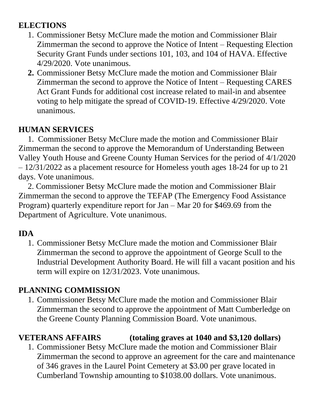# **ELECTIONS**

- 1. Commissioner Betsy McClure made the motion and Commissioner Blair Zimmerman the second to approve the Notice of Intent – Requesting Election Security Grant Funds under sections 101, 103, and 104 of HAVA. Effective 4/29/2020. Vote unanimous.
- **2.** Commissioner Betsy McClure made the motion and Commissioner Blair Zimmerman the second to approve the Notice of Intent – Requesting CARES Act Grant Funds for additional cost increase related to mail-in and absentee voting to help mitigate the spread of COVID-19. Effective 4/29/2020. Vote unanimous.

#### **HUMAN SERVICES**

1. Commissioner Betsy McClure made the motion and Commissioner Blair Zimmerman the second to approve the Memorandum of Understanding Between Valley Youth House and Greene County Human Services for the period of 4/1/2020 – 12/31/2022 as a placement resource for Homeless youth ages 18-24 for up to 21 days. Vote unanimous.

2. Commissioner Betsy McClure made the motion and Commissioner Blair Zimmerman the second to approve the TEFAP (The Emergency Food Assistance Program) quarterly expenditure report for Jan – Mar 20 for \$469.69 from the Department of Agriculture. Vote unanimous.

#### **IDA**

1. Commissioner Betsy McClure made the motion and Commissioner Blair Zimmerman the second to approve the appointment of George Scull to the Industrial Development Authority Board. He will fill a vacant position and his term will expire on 12/31/2023. Vote unanimous.

# **PLANNING COMMISSION**

1. Commissioner Betsy McClure made the motion and Commissioner Blair Zimmerman the second to approve the appointment of Matt Cumberledge on the Greene County Planning Commission Board. Vote unanimous.

# **VETERANS AFFAIRS (totaling graves at 1040 and \$3,120 dollars)**

1. Commissioner Betsy McClure made the motion and Commissioner Blair Zimmerman the second to approve an agreement for the care and maintenance of 346 graves in the Laurel Point Cemetery at \$3.00 per grave located in Cumberland Township amounting to \$1038.00 dollars. Vote unanimous.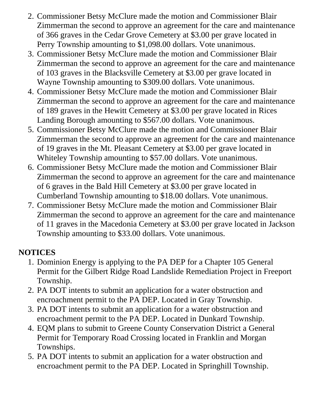- 2. Commissioner Betsy McClure made the motion and Commissioner Blair Zimmerman the second to approve an agreement for the care and maintenance of 366 graves in the Cedar Grove Cemetery at \$3.00 per grave located in Perry Township amounting to \$1,098.00 dollars. Vote unanimous.
- 3. Commissioner Betsy McClure made the motion and Commissioner Blair Zimmerman the second to approve an agreement for the care and maintenance of 103 graves in the Blacksville Cemetery at \$3.00 per grave located in Wayne Township amounting to \$309.00 dollars. Vote unanimous.
- 4. Commissioner Betsy McClure made the motion and Commissioner Blair Zimmerman the second to approve an agreement for the care and maintenance of 189 graves in the Hewitt Cemetery at \$3.00 per grave located in Rices Landing Borough amounting to \$567.00 dollars. Vote unanimous.
- 5. Commissioner Betsy McClure made the motion and Commissioner Blair Zimmerman the second to approve an agreement for the care and maintenance of 19 graves in the Mt. Pleasant Cemetery at \$3.00 per grave located in Whiteley Township amounting to \$57.00 dollars. Vote unanimous.
- 6. Commissioner Betsy McClure made the motion and Commissioner Blair Zimmerman the second to approve an agreement for the care and maintenance of 6 graves in the Bald Hill Cemetery at \$3.00 per grave located in Cumberland Township amounting to \$18.00 dollars. Vote unanimous.
- 7. Commissioner Betsy McClure made the motion and Commissioner Blair Zimmerman the second to approve an agreement for the care and maintenance of 11 graves in the Macedonia Cemetery at \$3.00 per grave located in Jackson Township amounting to \$33.00 dollars. Vote unanimous.

# **NOTICES**

- 1. Dominion Energy is applying to the PA DEP for a Chapter 105 General Permit for the Gilbert Ridge Road Landslide Remediation Project in Freeport Township.
- 2. PA DOT intents to submit an application for a water obstruction and encroachment permit to the PA DEP. Located in Gray Township.
- 3. PA DOT intents to submit an application for a water obstruction and encroachment permit to the PA DEP. Located in Dunkard Township.
- 4. EQM plans to submit to Greene County Conservation District a General Permit for Temporary Road Crossing located in Franklin and Morgan Townships.
- 5. PA DOT intents to submit an application for a water obstruction and encroachment permit to the PA DEP. Located in Springhill Township.